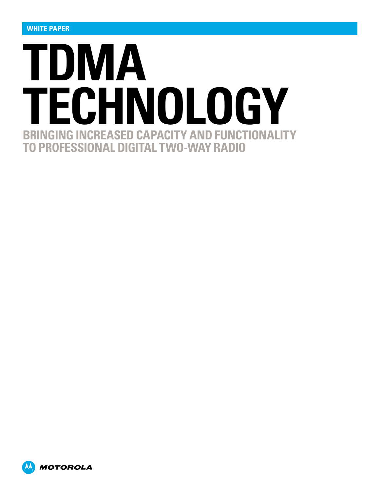

**MOTOROLA**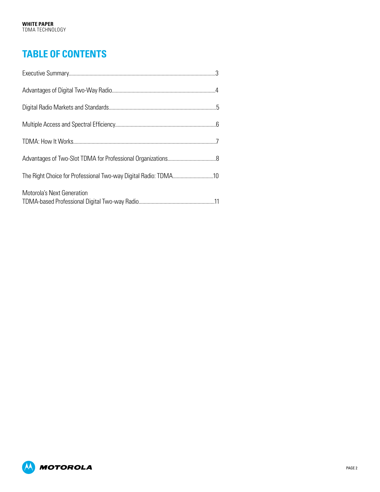# **Table of Contents**

| Motorola's Next Generation |  |
|----------------------------|--|

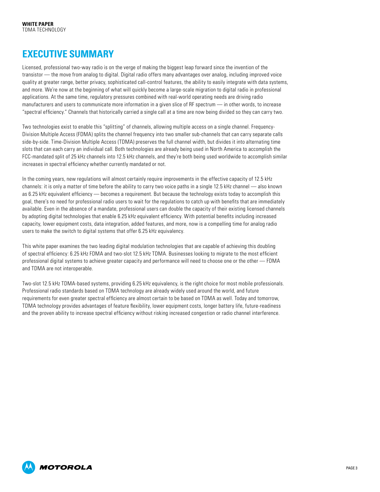## <span id="page-2-0"></span>**Executive Summary**

Licensed, professional two-way radio is on the verge of making the biggest leap forward since the invention of the transistor — the move from analog to digital. Digital radio offers many advantages over analog, including improved voice quality at greater range, better privacy, sophisticated call-control features, the ability to easily integrate with data systems, and more. We're now at the beginning of what will quickly become a large-scale migration to digital radio in professional applications. At the same time, regulatory pressures combined with real-world operating needs are driving radio manufacturers and users to communicate more information in a given slice of RF spectrum — in other words, to increase "spectral efficiency." Channels that historically carried a single call at a time are now being divided so they can carry two.

Two technologies exist to enable this "splitting" of channels, allowing multiple access on a single channel. Frequency-Division Multiple Access (FDMA) splits the channel frequency into two smaller sub-channels that can carry separate calls side-by-side. Time-Division Multiple Access (TDMA) preserves the full channel width, but divides it into alternating time slots that can each carry an individual call. Both technologies are already being used in North America to accomplish the FCC-mandated split of 25 kHz channels into 12.5 kHz channels, and they're both being used worldwide to accomplish similar increases in spectral efficiency whether currently mandated or not.

In the coming years, new regulations will almost certainly require improvements in the effective capacity of 12.5 kHz channels: it is only a matter of time before the ability to carry two voice paths in a single 12.5 kHz channel — also known as 6.25 kHz equivalent efficiency — becomes a requirement. But because the technology exists today to accomplish this goal, there's no need for professional radio users to wait for the regulations to catch up with benefits that are immediately available. Even in the absence of a mandate, professional users can double the capacity of their existing licensed channels by adopting digital technologies that enable 6.25 kHz equivalent efficiency. With potential benefits including increased capacity, lower equipment costs, data integration, added features, and more, now is a compelling time for analog radio users to make the switch to digital systems that offer 6.25 kHz equivalency.

This white paper examines the two leading digital modulation technologies that are capable of achieving this doubling of spectral efficiency: 6.25 kHz FDMA and two-slot 12.5 kHz TDMA. Businesses looking to migrate to the most efficient professional digital systems to achieve greater capacity and performance will need to choose one or the other — FDMA and TDMA are not interoperable.

Two-slot 12.5 kHz TDMA-based systems, providing 6.25 kHz equivalency, is the right choice for most mobile professionals. Professional radio standards based on TDMA technology are already widely used around the world, and future requirements for even greater spectral efficiency are almost certain to be based on TDMA as well. Today and tomorrow, TDMA technology provides advantages of feature flexibility, lower equipment costs, longer battery life, future-readiness and the proven ability to increase spectral efficiency without risking increased congestion or radio channel interference.

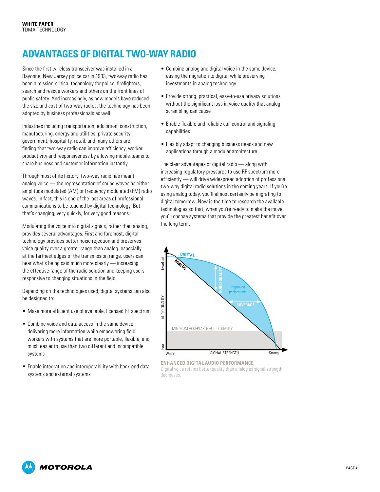# <span id="page-3-0"></span>**Advantages of Digital Two-Way Radio**

Since the first wireless transceiver was installed in a Bayonne, New Jersey police car in 1933, two-way radio has been a mission-critical technology for police, firefighters, search and rescue workers and others on the front lines of public safety. And increasingly, as new models have reduced the size and cost of two-way radios, the technology has been adopted by business professionals as well.

Industries including transportation, education, construction, manufacturing, energy and utilities, private security, government, hospitality, retail, and many others are finding that two-way radio can improve efficiency, worker productivity and responsiveness by allowing mobile teams to share business and customer information instantly.

Through most of its history, two-way radio has meant analog voice — the representation of sound waves as either amplitude modulated (AM) or frequency modulated (FM) radio waves. In fact, this is one of the last areas of professional communications to be touched by digital technology. But that's changing, very quickly, for very good reasons.

Modulating the voice into digital signals, rather than analog, provides several advantages. First and foremost, digital technology provides better noise rejection and preserves voice quality over a greater range than analog. especially at the farthest edges of the transmission range, users can hear what's being said much more clearly — increasing the effective range of the radio solution and keeping users responsive to changing situations in the field.

Depending on the technologies used, digital systems can also be designed to:

- Make more efficient use of available, licensed RF spectrum
- • Combine voice and data access in the same device, delivering more information while empowering field workers with systems that are more portable, flexible, and much easier to use than two different and incompatible systems
- Enable integration and interoperability with back-end data systems and external systems
- • Combine analog and digital voice in the same device, easing the migration to digital while preserving investments in analog technology
- Provide strong, practical, easy-to-use privacy solutions without the significant loss in voice quality that analog scrambling can cause
- Enable flexible and reliable call control and signaling capabilities
- Flexibly adapt to changing business needs and new applications through a modular architecture

The clear advantages of digital radio — along with increasing regulatory pressures to use RF spectrum more efficiently — will drive widespread adoption of professional two-way digital radio solutions in the coming years. If you're using analog today, you'll almost certainly be migrating to digital tomorrow. Now is the time to research the available technologies so that, when you're ready to make the move, you'll choose systems that provide the greatest benefit over the long term.



**Enhanced Digital Audio Performance** Digital voice retains better quality than analog as signal strength

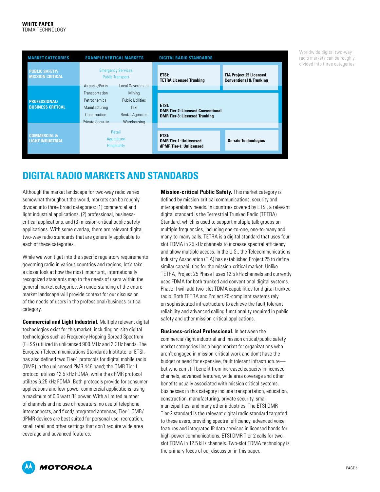<span id="page-4-0"></span>

| <b>MARKET CATEGORIES</b>                           | <b>EXAMPLE VERTICAL MARKETS</b>                                                             |                                                                                    | <b>DIGITAL RADIO STANDARDS</b>                                                                   |                                                                      |
|----------------------------------------------------|---------------------------------------------------------------------------------------------|------------------------------------------------------------------------------------|--------------------------------------------------------------------------------------------------|----------------------------------------------------------------------|
| <b>PUBLIC SAFETY/</b><br><b>MISSION CRITICAL</b>   | <b>Emergency Services</b><br><b>Public Transport</b><br>Local Government<br>Airports/Ports  |                                                                                    | <b>ETSI:</b><br><b>TETRA Licensed Trunking</b>                                                   | <b>TIA Project 25 Licensed</b><br><b>Conventional &amp; Trunking</b> |
| <b>PROFESSIONAL/</b><br><b>BUSINESS CRITICAL</b>   | Transportation<br>Petrochemical<br>Manufacturing<br>Construction<br><b>Private Security</b> | Mining<br><b>Public Utilities</b><br>Taxi<br><b>Rental Agencies</b><br>Warehousing | <b>ETSI:</b><br><b>DMR Tier-2: Licensed Conventional</b><br><b>DMR Tier-3: Licensed Trunking</b> |                                                                      |
| <b>COMMERCIAL &amp;</b><br><b>LIGHT INDUSTRIAL</b> | <b>Retail</b><br>Agriculture<br><b>Hospitality</b>                                          |                                                                                    | <b>ETSI:</b><br><b>DMR Tier-1: Unlicensed</b><br>dPMR Tier-1: Unlicensed                         | <b>On-site Technologies</b>                                          |

Worldwide digital two-way radio markets can be roughly divided into three categories

## **Digital Radio Markets and Standards**

Although the market landscape for two-way radio varies somewhat throughout the world, markets can be roughly divided into three broad categories: (1) commercial and light industrial applications, (2) professional, businesscritical applications, and (3) mission-critical public safety applications. With some overlap, there are relevant digital two-way radio standards that are generally applicable to each of these categories.

While we won't get into the specific regulatory requirements governing radio in various countries and regions, let's take a closer look at how the most important, internationally recognized standards map to the needs of users within the general market categories. An understanding of the entire market landscape will provide context for our discussion of the needs of users in the professional/business-critical category.

**Commercial and Light Industrial.** Multiple relevant digital technologies exist for this market, including on-site digital technologies such as Frequency Hopping Spread Spectrum (FHSS) utilized in unlicensed 900 MHz and 2 GHz bands. The European Telecommunications Standards Institute, or ETSI, has also defined two Tier-1 protocols for digital mobile radio (DMR) in the unlicensed PMR 446 band; the DMR Tier-1 protocol utilizes 12.5 kHz FDMA, while the dPMR protocol utilizes 6.25 kHz FDMA. Both protocols provide for consumer applications and low-power commercial applications, using a maximum of 0.5 watt RF power. With a limited number of channels and no use of repeaters, no use of telephone interconnects, and fixed/integrated antennas, Tier-1 DMR/ dPMR devices are best suited for personal use, recreation, small retail and other settings that don't require wide area coverage and advanced features.

**Mission-critical Public Safety.** This market category is defined by mission-critical communications, security and interoperability needs. in countries covered by ETSI, a relevant digital standard is the Terrestrial Trunked Radio (TETRA) Standard, which is used to support multiple talk groups on multiple frequencies, including one-to-one, one-to-many and many-to-many calls. TETRA is a digital standard that uses fourslot TDMA in 25 kHz channels to increase spectral efficiency and allow multiple access. In the U.S., the Telecommunications Industry Association (TIA) has established Project 25 to define similar capabilities for the mission-critical market. Unlike TETRA, Project 25 Phase I uses 12.5 kHz channels and currently uses FDMA for both trunked and conventional digital systems. Phase II will add two-slot TDMA capabilities for digital trunked radio. Both TETRA and Project 25-compliant systems rely on sophisticated infrastructure to achieve the fault tolerant reliability and advanced calling functionality required in public safety and other mission-critical applications.

**Business-critical Professional.** In between the commercial/light industrial and mission critical/public safety market categories lies a huge market for organizations who aren't engaged in mission-critical work and don't have the budget or need for expensive, fault tolerant infrastructure but who can still benefit from increased capacity in licensed channels, advanced features, wide area coverage and other benefits usually associated with mission critical systems. Businesses in this category include transportation, education, construction, manufacturing, private security, small municipalities, and many other industries. The ETSI DMR Tier-2 standard is the relevant digital radio standard targeted to these users, providing spectral efficiency, advanced voice features and integrated IP data services in licensed bands for high-power communications. ETSI DMR Tier-2 calls for twoslot TDMA in 12.5 kHz channels. Two-slot TDMA technology is the primary focus of our discussion in this paper.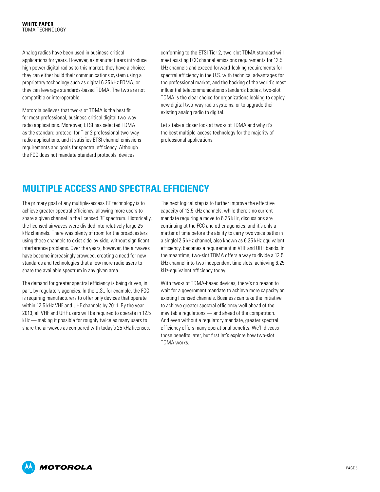<span id="page-5-0"></span>Analog radios have been used in business-critical applications for years. However, as manufacturers introduce high power digital radios to this market, they have a choice: they can either build their communications system using a proprietary technology such as digital 6.25 kHz FDMA, or they can leverage standards-based TDMA. The two are not compatible or interoperable.

Motorola believes that two-slot TDMA is the best fit for most professional, business-critical digital two-way radio applications. Moreover, ETSI has selected TDMA as the standard protocol for Tier-2 professional two-way radio applications, and it satisfies ETSI channel emissions requirements and goals for spectral efficiency. Although the FCC does not mandate standard protocols, devices

conforming to the ETSI Tier-2, two-slot TDMA standard will meet existing FCC channel emissions requirements for 12.5 kHz channels and exceed forward-looking requirements for spectral efficiency in the U.S. with technical advantages for the professional market, and the backing of the world's most influential telecommunications standards bodies, two-slot TDMA is the clear choice for organizations looking to deploy new digital two-way radio systems, or to upgrade their existing analog radio to digital.

Let's take a closer look at two-slot TDMA and why it's the best multiple-access technology for the majority of professional applications.

# **Multiple Access and Spectral Efficiency**

The primary goal of any multiple-access RF technology is to achieve greater spectral efficiency, allowing more users to share a given channel in the licensed RF spectrum. Historically, the licensed airwaves were divided into relatively large 25 kHz channels. There was plenty of room for the broadcasters using these channels to exist side-by-side, without significant interference problems. Over the years, however, the airwaves have become increasingly crowded, creating a need for new standards and technologies that allow more radio users to share the available spectrum in any given area.

The demand for greater spectral efficiency is being driven, in part, by regulatory agencies. In the U.S., for example, the FCC is requiring manufacturers to offer only devices that operate within 12.5 kHz VHF and UHF channels by 2011. By the year 2013, all VHF and UHF users will be required to operate in 12.5 kHz — making it possible for roughly twice as many users to share the airwaves as compared with today's 25 kHz licenses.

The next logical step is to further improve the effective capacity of 12.5 kHz channels. while there's no current mandate requiring a move to 6.25 kHz, discussions are continuing at the FCC and other agencies, and it's only a matter of time before the ability to carry two voice paths in a single12.5 kHz channel, also known as 6.25 kHz equivalent efficiency, becomes a requirement in VHF and UHF bands. In the meantime, two-slot TDMA offers a way to divide a 12.5 kHz channel into two independent time slots, achieving 6.25 kHz-equivalent efficiency today.

With two-slot TDMA-based devices, there's no reason to wait for a government mandate to achieve more capacity on existing licensed channels. Business can take the initiative to achieve greater spectral efficiency well ahead of the inevitable regulations — and ahead of the competition. And even without a regulatory mandate, greater spectral efficiency offers many operational benefits. We'll discuss those benefits later, but first let's explore how two-slot TDMA works.

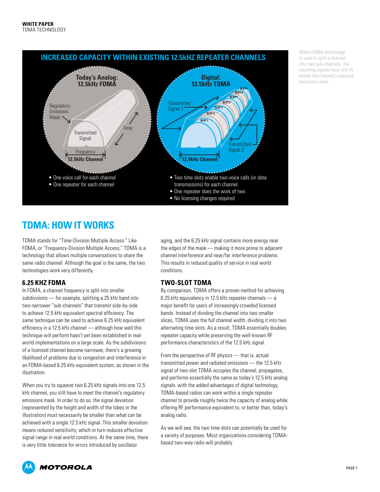<span id="page-6-0"></span>

When FDMA technology is used to split a channel into two sub-channels, the resulting signals must still fit within the channel's required emissions mask

## **TDMA: How It Works**

TDMA stands for "Time-Division Multiple Access." Like FDMA, or "Frequency-Division Multiple Access," TDMA is a technology that allows multiple conversations to share the same radio channel. Although the goal is the same, the two technologies work very differently.

### **6.25 kHz FDMA**

In FDMA, a channel frequency is split into smaller subdivisions — for example, splitting a 25 kHz band into two narrower "sub-channels" that transmit side-by-side to achieve 12.5 kHz equivalent spectral efficiency. The same technique can be used to achieve 6.25 kHz equivalent efficiency in a 12.5 kHz channel — although how well this technique will perform hasn't yet been established in realworld implementations on a large scale. As the subdivisions of a licensed channel become narrower, there's a growing likelihood of problems due to congestion and interference in an FDMA-based 6.25 kHz-equivalent system, as shown in the illustration.

When you try to squeeze two 6.25 kHz signals into one 12.5 kHz channel, you still have to meet the channel's regulatory emissions mask. In order to do so, the signal deviation (represented by the height and width of the lobes in the illustration) must necessarily be smaller than what can be achieved with a single 12.5 kHz signal. This smaller deviation means reduced sensitivity, which in turn reduces effective signal range in real world conditions. At the same time, there is very little tolerance for errors introduced by oscillator

aging, and the 6.25 kHz signal contains more energy near the edges of the mask — making it more prone to adjacent channel interference and near/far interference problems. This results in reduced quality of service in real world conditions.

### **Two-slot TDMA**

By comparison, TDMA offers a proven method for achieving 6.25 kHz equivalency in 12.5 kHz repeater channels — a major benefit for users of increasingly crowded licensed bands. Instead of dividing the channel into two smaller slices, TDMA uses the full channel width, dividing it into two alternating time slots. As a result, TDMA essentially doubles repeater capacity while preserving the well-known RF performance characteristics of the 12.5 kHz signal.

From the perspective of RF physics — that is, actual transmitted power and radiated emissions — the 12.5 kHz signal of two-slot TDMA occupies the channel, propagates, and performs essentially the same as today's 12.5 kHz analog signals. with the added advantages of digital technology, TDMA-based radios can work within a single repeater channel to provide roughly twice the capacity of analog while offering RF performance equivalent to, or better than, today's analog radio.

As we will see, the two time slots can potentially be used for a variety of purposes. Most organizations considering TDMAbased two-way radio will probably

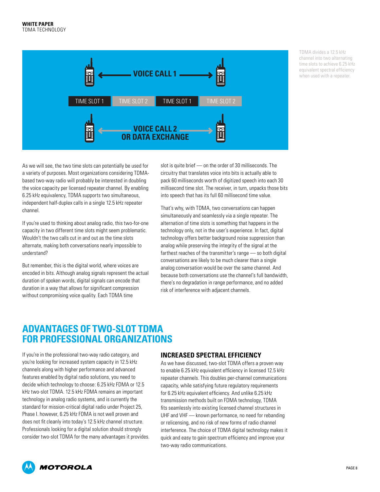<span id="page-7-0"></span>

TDMA divides a 12.5 kHz channel into two alternating time slots to achieve 6.25 kHz equivalent spectral efficiency when used with a repeater.

As we will see, the two time slots can potentially be used for a variety of purposes. Most organizations considering TDMAbased two-way radio will probably be interested in doubling the voice capacity per licensed repeater channel. By enabling 6.25 kHz equivalency, TDMA supports two simultaneous, independent half-duplex calls in a single 12.5 kHz repeater channel.

If you're used to thinking about analog radio, this two-for-one capacity in two different time slots might seem problematic. Wouldn't the two calls cut in and out as the time slots alternate, making both conversations nearly impossible to understand?

But remember, this is the digital world, where voices are encoded in bits. Although analog signals represent the actual duration of spoken words, digital signals can encode that duration in a way that allows for significant compression without compromising voice quality. Each TDMA time

slot is quite brief — on the order of 30 milliseconds. The circuitry that translates voice into bits is actually able to pack 60 milliseconds worth of digitized speech into each 30 millisecond time slot. The receiver, in turn, unpacks those bits into speech that has its full 60 millisecond time value.

That's why, with TDMA, two conversations can happen simultaneously and seamlessly via a single repeater. The alternation of time slots is something that happens in the technology only, not in the user's experience. In fact, digital technology offers better background noise suppression than analog while preserving the integrity of the signal at the farthest reaches of the transmitter's range — so both digital conversations are likely to be much clearer than a single analog conversation would be over the same channel. And because both conversations use the channel's full bandwidth, there's no degradation in range performance, and no added risk of interference with adjacent channels.

### **Advantages of Two-Slot TDMA for Professional Organizations**

If you're in the professional two-way radio category, and you're looking for increased system capacity in 12.5 kHz channels along with higher performance and advanced features enabled by digital radio solutions, you need to decide which technology to choose: 6.25 kHz FDMA or 12.5 kHz two-slot TDMA. 12.5 kHz FDMA remains an important technology in analog radio systems, and is currently the standard for mission-critical digital radio under Project 25, Phase I. however, 6.25 kHz FDMA is not well proven and does not fit cleanly into today's 12.5 kHz channel structure. Professionals looking for a digital solution should strongly consider two-slot TDMA for the many advantages it provides.

#### **Increased Spectral Efficiency**

As we have discussed, two-slot TDMA offers a proven way to enable 6.25 kHz equivalent efficiency in licensed 12.5 kHz repeater channels. This doubles per-channel communications capacity, while satisfying future regulatory requirements for 6.25 kHz equivalent efficiency. And unlike 6.25 kHz transmission methods built on FDMA technology, TDMA fits seamlessly into existing licensed channel structures in UHF and VHF — known performance, no need for rebanding or relicensing, and no risk of new forms of radio channel interference. The choice of TDMA digital technology makes it quick and easy to gain spectrum efficiency and improve your two-way radio communications.

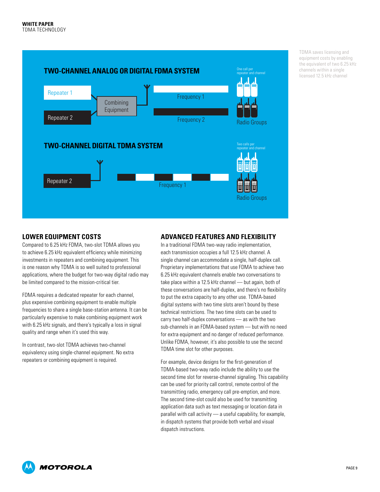

TDMA saves licensing and equipment costs by enabling the equivalent of two 6.25 kHz channels within a single licensed 12.5 kHz channel

### **Lower Equipment Costs**

Compared to 6.25 kHz FDMA, two-slot TDMA allows you to achieve 6.25 kHz equivalent efficiency while minimizing investments in repeaters and combining equipment. This is one reason why TDMA is so well suited to professional applications, where the budget for two-way digital radio may be limited compared to the mission-critical tier.

FDMA requires a dedicated repeater for each channel, plus expensive combining equipment to enable multiple frequencies to share a single base-station antenna. It can be particularly expensive to make combining equipment work with 6.25 kHz signals, and there's typically a loss in signal quality and range when it's used this way.

In contrast, two-slot TDMA achieves two-channel equivalency using single-channel equipment. No extra repeaters or combining equipment is required.

### **Advanced Features and Flexibility**

In a traditional FDMA two-way radio implementation, each transmission occupies a full 12.5 kHz channel. A single channel can accommodate a single, half-duplex call. Proprietary implementations that use FDMA to achieve two 6.25 kHz equivalent channels enable two conversations to take place within a 12.5 kHz channel — but again, both of these conversations are half-duplex, and there's no flexibility to put the extra capacity to any other use. TDMA-based digital systems with two time slots aren't bound by these technical restrictions. The two time slots can be used to carry two half-duplex conversations — as with the two sub-channels in an FDMA-based system — but with no need for extra equipment and no danger of reduced performance. Unlike FDMA, however, it's also possible to use the second TDMA time slot for other purposes.

For example, device designs for the first-generation of TDMA-based two-way radio include the ability to use the second time slot for reverse-channel signaling. This capability can be used for priority call control, remote control of the transmitting radio, emergency call pre-emption, and more. The second time-slot could also be used for transmitting application data such as text messaging or location data in parallel with call activity — a useful capability, for example, in dispatch systems that provide both verbal and visual dispatch instructions.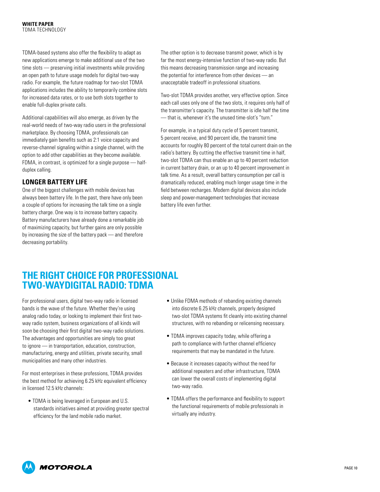<span id="page-9-0"></span>TDMA-based systems also offer the flexibility to adapt as new applications emerge to make additional use of the two time slots — preserving initial investments while providing an open path to future usage models for digital two-way radio. For example, the future roadmap for two-slot TDMA applications includes the ability to temporarily combine slots for increased data rates, or to use both slots together to enable full-duplex private calls.

Additional capabilities will also emerge, as driven by the real-world needs of two-way radio users in the professional marketplace. By choosing TDMA, professionals can immediately gain benefits such as 2:1 voice capacity and reverse-channel signaling within a single channel, with the option to add other capabilities as they become available. FDMA, in contrast, is optimized for a single purpose — halfduplex calling.

### **Longer Battery Life**

One of the biggest challenges with mobile devices has always been battery life. In the past, there have only been a couple of options for increasing the talk time on a single battery charge. One way is to increase battery capacity. Battery manufacturers have already done a remarkable job of maximizing capacity, but further gains are only possible by increasing the size of the battery pack — and therefore decreasing portability.

The other option is to decrease transmit power, which is by far the most energy-intensive function of two-way radio. But this means decreasing transmission range and increasing the potential for interference from other devices — an unacceptable tradeoff in professional situations.

Two-slot TDMA provides another, very effective option. Since each call uses only one of the two slots, it requires only half of the transmitter's capacity. The transmitter is idle half the time — that is, whenever it's the unused time-slot's "turn."

For example, in a typical duty cycle of 5 percent transmit, 5 percent receive, and 90 percent idle, the transmit time accounts for roughly 80 percent of the total current drain on the radio's battery. By cutting the effective transmit time in half, two-slot TDMA can thus enable an up to 40 percent reduction in current battery drain, or an up to 40 percent improvement in talk time. As a result, overall battery consumption per call is dramatically reduced, enabling much longer usage time in the field between recharges. Modern digital devices also include sleep and power-management technologies that increase battery life even further.

## **The Right Choice for Professional Two-wayDigital Radio: TDMA**

For professional users, digital two-way radio in licensed bands is the wave of the future. Whether they're using analog radio today, or looking to implement their first twoway radio system, business organizations of all kinds will soon be choosing their first digital two-way radio solutions. The advantages and opportunities are simply too great to ignore — in transportation, education, construction, manufacturing, energy and utilities, private security, small municipalities and many other industries.

For most enterprises in these professions, TDMA provides the best method for achieving 6.25 kHz equivalent efficiency in licensed 12.5 kHz channels:

• TDMA is being leveraged in European and U.S. standards initiatives aimed at providing greater spectral efficiency for the land mobile radio market.

- Unlike FDMA methods of rebanding existing channels into discrete 6.25 kHz channels, properly designed two-slot TDMA systems fit cleanly into existing channel structures, with no rebanding or relicensing necessary.
- TDMA improves capacity today, while offering a path to compliance with further channel efficiency requirements that may be mandated in the future.
- Because it increases capacity without the need for additional repeaters and other infrastructure, TDMA can lower the overall costs of implementing digital two-way radio.
- TDMA offers the performance and flexibility to support the functional requirements of mobile professionals in virtually any industry.

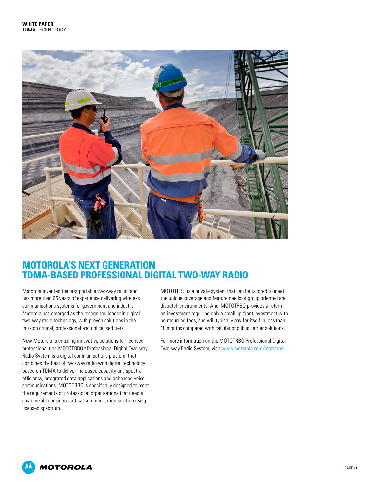<span id="page-10-0"></span>

## **Motorola's Next Generation TDMA-based Professional Digital Two-way Radio**

Motorola invented the first portable two-way radio, and has more than 65 years of experience delivering wireless communications systems for government and industry. Motorola has emerged as the recognized leader in digital two-way radio technology, with proven solutions in the mission critical, professional and unlicensed tiers.

Now Motorola is enabling innovative solutions for licensed professional tier. MOTOTRBO™ Professional Digital Two-way Radio System is a digital communications platform that combines the best of two-way radio with digital technology based on TDMA to deliver increased capacity and spectral efficiency, integrated data applications and enhanced voice communications. MOTOTRBO is specifically designed to meet the requirements of professional organizations that need a customizable business critical communication solution using licensed spectrum.

MOTOTRBO is a private system that can be tailored to meet the unique coverage and feature needs of group oriented and dispatch environments. And, MOTOTRBO provides a return on investment requiring only a small up-front investment with no recurring fees, and will typically pay for itself in less than 18 months compared with cellular or public carrier solutions.

For more information on the MOTOTRBO Professional Digital Two-way Radio System, visit www.motorola.com/mototrbo.